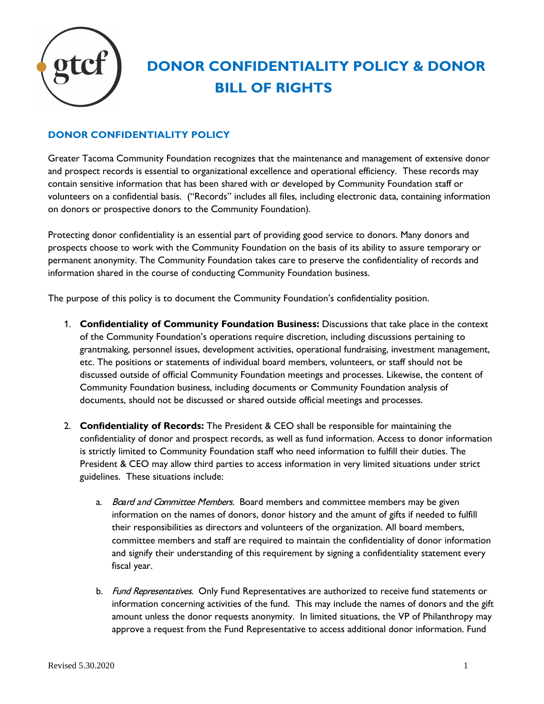

## **DONOR CONFIDENTIALITY POLICY & DONOR BILL OF RIGHTS**

## **DONOR CONFIDENTIALITY POLICY**

Greater Tacoma Community Foundation recognizes that the maintenance and management of extensive donor and prospect records is essential to organizational excellence and operational efficiency. These records may contain sensitive information that has been shared with or developed by Community Foundation staff or volunteers on a confidential basis. ("Records" includes all files, including electronic data, containing information on donors or prospective donors to the Community Foundation).

Protecting donor confidentiality is an essential part of providing good service to donors. Many donors and prospects choose to work with the Community Foundation on the basis of its ability to assure temporary or permanent anonymity. The Community Foundation takes care to preserve the confidentiality of records and information shared in the course of conducting Community Foundation business.

The purpose of this policy is to document the Community Foundation's confidentiality position.

- 1. **Confidentiality of Community Foundation Business:** Discussions that take place in the context of the Community Foundation's operations require discretion, including discussions pertaining to grantmaking, personnel issues, development activities, operational fundraising, investment management, etc. The positions or statements of individual board members, volunteers, or staff should not be discussed outside of official Community Foundation meetings and processes. Likewise, the content of Community Foundation business, including documents or Community Foundation analysis of documents, should not be discussed or shared outside official meetings and processes.
- 2. **Confidentiality of Records:** The President & CEO shall be responsible for maintaining the confidentiality of donor and prospect records, as well as fund information. Access to donor information is strictly limited to Community Foundation staff who need information to fulfill their duties. The President & CEO may allow third parties to access information in very limited situations under strict guidelines. These situations include:
	- a. Board and Committee Members. Board members and committee members may be given information on the names of donors, donor history and the amunt of gifts if needed to fulfill their responsibilities as directors and volunteers of the organization. All board members, committee members and staff are required to maintain the confidentiality of donor information and signify their understanding of this requirement by signing a confidentiality statement every fiscal year.
	- b. Fund Representatives. Only Fund Representatives are authorized to receive fund statements or information concerning activities of the fund. This may include the names of donors and the gift amount unless the donor requests anonymity. In limited situations, the VP of Philanthropy may approve a request from the Fund Representative to access additional donor information. Fund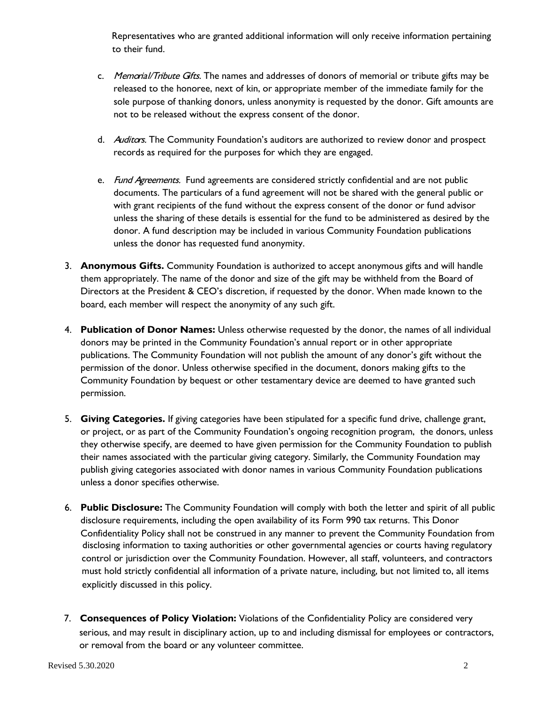Representatives who are granted additional information will only receive information pertaining to their fund.

- c. Memorial/Tribute Gifts. The names and addresses of donors of memorial or tribute gifts may be released to the honoree, next of kin, or appropriate member of the immediate family for the sole purpose of thanking donors, unless anonymity is requested by the donor. Gift amounts are not to be released without the express consent of the donor.
- d. Auditors. The Community Foundation's auditors are authorized to review donor and prospect records as required for the purposes for which they are engaged.
- e. Fund Agreements. Fund agreements are considered strictly confidential and are not public documents. The particulars of a fund agreement will not be shared with the general public or with grant recipients of the fund without the express consent of the donor or fund advisor unless the sharing of these details is essential for the fund to be administered as desired by the donor. A fund description may be included in various Community Foundation publications unless the donor has requested fund anonymity.
- 3. **Anonymous Gifts.** Community Foundation is authorized to accept anonymous gifts and will handle them appropriately. The name of the donor and size of the gift may be withheld from the Board of Directors at the President & CEO's discretion, if requested by the donor. When made known to the board, each member will respect the anonymity of any such gift.
- 4. **Publication of Donor Names:** Unless otherwise requested by the donor, the names of all individual donors may be printed in the Community Foundation's annual report or in other appropriate publications. The Community Foundation will not publish the amount of any donor's gift without the permission of the donor. Unless otherwise specified in the document, donors making gifts to the Community Foundation by bequest or other testamentary device are deemed to have granted such permission.
- 5. **Giving Categories.** If giving categories have been stipulated for a specific fund drive, challenge grant, or project, or as part of the Community Foundation's ongoing recognition program, the donors, unless they otherwise specify, are deemed to have given permission for the Community Foundation to publish their names associated with the particular giving category. Similarly, the Community Foundation may publish giving categories associated with donor names in various Community Foundation publications unless a donor specifies otherwise.
- 6. **Public Disclosure:** The Community Foundation will comply with both the letter and spirit of all public disclosure requirements, including the open availability of its Form 990 tax returns. This Donor Confidentiality Policy shall not be construed in any manner to prevent the Community Foundation from disclosing information to taxing authorities or other governmental agencies or courts having regulatory control or jurisdiction over the Community Foundation. However, all staff, volunteers, and contractors must hold strictly confidential all information of a private nature, including, but not limited to, all items explicitly discussed in this policy.
- serious, and may result in disciplinary action, up to and including dismissal for employees or contractors, or removal from the board or any volunteer committee. 7. **Consequences of Policy Violation:** Violations of the Confidentiality Policy are considered very